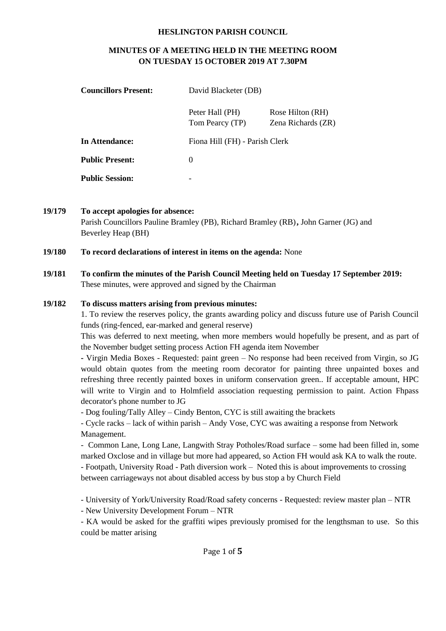#### **HESLINGTON PARISH COUNCIL**

# **MINUTES OF A MEETING HELD IN THE MEETING ROOM ON TUESDAY 15 OCTOBER 2019 AT 7.30PM**

| <b>Councillors Present:</b> | David Blacketer (DB)               |                                        |  |
|-----------------------------|------------------------------------|----------------------------------------|--|
|                             | Peter Hall (PH)<br>Tom Pearcy (TP) | Rose Hilton (RH)<br>Zena Richards (ZR) |  |
| In Attendance:              | Fiona Hill (FH) - Parish Clerk     |                                        |  |
| <b>Public Present:</b>      | $\theta$                           |                                        |  |
| <b>Public Session:</b>      | -                                  |                                        |  |

**19/179 To accept apologies for absence:**  Parish Councillors Pauline Bramley (PB), Richard Bramley (RB)**,** John Garner (JG) and Beverley Heap (BH)

#### **19/180 To record declarations of interest in items on the agenda:** None

**19/181 To confirm the minutes of the Parish Council Meeting held on Tuesday 17 September 2019:** These minutes, were approved and signed by the Chairman

#### **19/182 To discuss matters arising from previous minutes:**

1. To review the reserves policy, the grants awarding policy and discuss future use of Parish Council funds (ring-fenced, ear-marked and general reserve)

This was deferred to next meeting, when more members would hopefully be present, and as part of the November budget setting process Action FH agenda item November

**-** Virgin Media Boxes - Requested: paint green – No response had been received from Virgin, so JG would obtain quotes from the meeting room decorator for painting three unpainted boxes and refreshing three recently painted boxes in uniform conservation green.. If acceptable amount, HPC will write to Virgin and to Holmfield association requesting permission to paint. Action Fhpass decorator's phone number to JG

- Dog fouling/Tally Alley – Cindy Benton, CYC is still awaiting the brackets

- Cycle racks – lack of within parish – Andy Vose, CYC was awaiting a response from Network Management.

- Common Lane, Long Lane, Langwith Stray Potholes/Road surface – some had been filled in, some marked Oxclose and in village but more had appeared, so Action FH would ask KA to walk the route. - Footpath, University Road - Path diversion work – Noted this is about improvements to crossing between carriageways not about disabled access by bus stop a by Church Field

- University of York/University Road/Road safety concerns - Requested: review master plan – NTR

- New University Development Forum – NTR

- KA would be asked for the graffiti wipes previously promised for the lengthsman to use. So this could be matter arising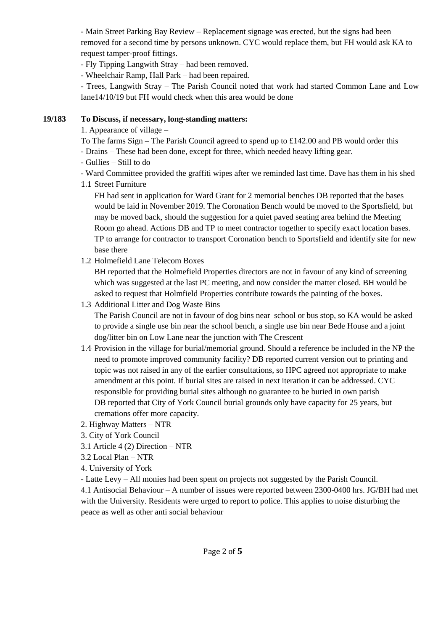- Main Street Parking Bay Review – Replacement signage was erected, but the signs had been removed for a second time by persons unknown. CYC would replace them, but FH would ask KA to request tamper-proof fittings.

- Fly Tipping Langwith Stray – had been removed.

- Wheelchair Ramp, Hall Park – had been repaired.

- Trees, Langwith Stray – The Parish Council noted that work had started Common Lane and Low lane14/10/19 but FH would check when this area would be done

## **19/183 To Discuss, if necessary, long-standing matters:**

1. Appearance of village –

- To The farms  $Sign$  The Parish Council agreed to spend up to £142.00 and PB would order this
- Drains These had been done, except for three, which needed heavy lifting gear.
- Gullies Still to do
- Ward Committee provided the graffiti wipes after we reminded last time. Dave has them in his shed
- 1.1 Street Furniture

FH had sent in application for Ward Grant for 2 memorial benches DB reported that the bases would be laid in November 2019. The Coronation Bench would be moved to the Sportsfield, but may be moved back, should the suggestion for a quiet paved seating area behind the Meeting Room go ahead. Actions DB and TP to meet contractor together to specify exact location bases. TP to arrange for contractor to transport Coronation bench to Sportsfield and identify site for new base there

1.2 Holmefield Lane Telecom Boxes

BH reported that the Holmefield Properties directors are not in favour of any kind of screening which was suggested at the last PC meeting, and now consider the matter closed. BH would be asked to request that Holmfield Properties contribute towards the painting of the boxes.

1.3 Additional Litter and Dog Waste Bins

The Parish Council are not in favour of dog bins near school or bus stop, so KA would be asked to provide a single use bin near the school bench, a single use bin near Bede House and a joint dog/litter bin on Low Lane near the junction with The Crescent

- 1.4 Provision in the village for burial/memorial ground. Should a reference be included in the NP the need to promote improved community facility? DB reported current version out to printing and topic was not raised in any of the earlier consultations, so HPC agreed not appropriate to make amendment at this point. If burial sites are raised in next iteration it can be addressed. CYC responsible for providing burial sites although no guarantee to be buried in own parish DB reported that City of York Council burial grounds only have capacity for 25 years, but cremations offer more capacity.
- 2. Highway Matters NTR
- 3. City of York Council
- 3.1 Article 4 (2) Direction NTR
- 3.2 Local Plan NTR
- 4. University of York
- Latte Levy All monies had been spent on projects not suggested by the Parish Council.

4.1 Antisocial Behaviour – A number of issues were reported between 2300-0400 hrs. JG/BH had met with the University. Residents were urged to report to police. This applies to noise disturbing the peace as well as other anti social behaviour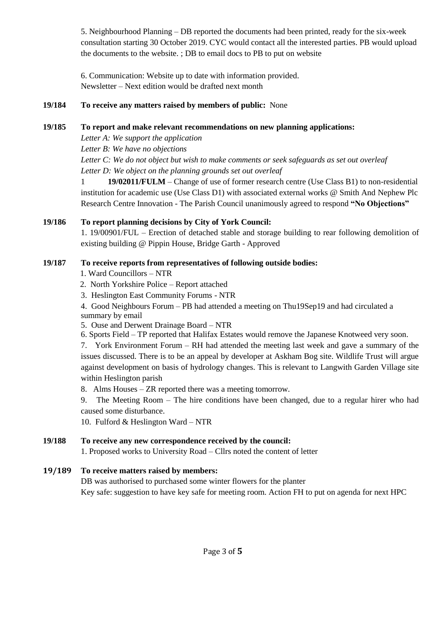5. Neighbourhood Planning – DB reported the documents had been printed, ready for the six-week consultation starting 30 October 2019. CYC would contact all the interested parties. PB would upload the documents to the website. ; DB to email docs to PB to put on website

6. Communication: Website up to date with information provided. Newsletter – Next edition would be drafted next month

## **19/184 To receive any matters raised by members of public:** None

## **19/185 To report and make relevant recommendations on new planning applications:**

*Letter A: We support the application*

*Letter B: We have no objections*

*Letter C: We do not object but wish to make comments or seek safeguards as set out overleaf Letter D: We object on the planning grounds set out overleaf*

1 **19/02011/FULM** – Change of use of former research centre (Use Class B1) to non-residential institution for academic use (Use Class D1) with associated external works @ Smith And Nephew Plc Research Centre Innovation - The Parish Council unanimously agreed to respond **"No Objections"**

# **19/186 To report planning decisions by City of York Council:**

1. 19/00901/FUL – Erection of detached stable and storage building to rear following demolition of existing building @ Pippin House, Bridge Garth - Approved

## **19/187 To receive reports from representatives of following outside bodies:**

- 1. Ward Councillors NTR
- 2. North Yorkshire Police Report attached
- 3. Heslington East Community Forums NTR

4. Good Neighbours Forum – PB had attended a meeting on Thu19Sep19 and had circulated a

summary by email

5. Ouse and Derwent Drainage Board – NTR

6. Sports Field – TP reported that Halifax Estates would remove the Japanese Knotweed very soon.

7. York Environment Forum – RH had attended the meeting last week and gave a summary of the issues discussed. There is to be an appeal by developer at Askham Bog site. Wildlife Trust will argue against development on basis of hydrology changes. This is relevant to Langwith Garden Village site within Heslington parish

8. Alms Houses – ZR reported there was a meeting tomorrow.

9. The Meeting Room – The hire conditions have been changed, due to a regular hirer who had caused some disturbance.

10. Fulford & Heslington Ward – NTR

# **19/188 To receive any new correspondence received by the council:**

1. Proposed works to University Road – Cllrs noted the content of letter

# **19/189 To receive matters raised by members:**

DB was authorised to purchased some winter flowers for the planter Key safe: suggestion to have key safe for meeting room. Action FH to put on agenda for next HPC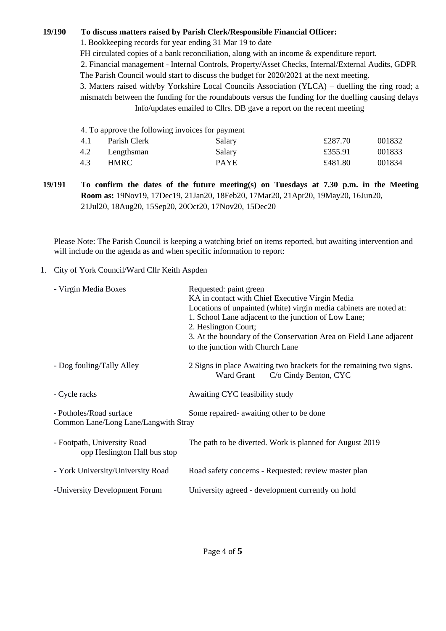### **19/190 To discuss matters raised by Parish Clerk/Responsible Financial Officer:**

1. Bookkeeping records for year ending 31 Mar 19 to date

FH circulated copies of a bank reconciliation, along with an income & expenditure report.

2. Financial management - Internal Controls, Property/Asset Checks, Internal/External Audits, GDPR The Parish Council would start to discuss the budget for 2020/2021 at the next meeting.

3. Matters raised with/by Yorkshire Local Councils Association (YLCA) – duelling the ring road; a mismatch between the funding for the roundabouts versus the funding for the duelling causing delays Info/updates emailed to Cllrs. DB gave a report on the recent meeting

|     | 4. To approve the following invoices for payment |             |         |        |
|-----|--------------------------------------------------|-------------|---------|--------|
| 4.1 | Parish Clerk                                     | Salary      | £287.70 | 001832 |
| 4.2 | Lengthsman                                       | Salary      | £355.91 | 001833 |
| 4.3 | HMRC.                                            | <b>PAYE</b> | £481.80 | 001834 |
|     |                                                  |             |         |        |

**19/191 To confirm the dates of the future meeting(s) on Tuesdays at 7.30 p.m. in the Meeting Room as:** 19Nov19, 17Dec19, 21Jan20, 18Feb20, 17Mar20, 21Apr20, 19May20, 16Jun20, 21Jul20, 18Aug20, 15Sep20, 20Oct20, 17Nov20, 15Dec20

Please Note: The Parish Council is keeping a watching brief on items reported, but awaiting intervention and will include on the agenda as and when specific information to report:

#### 1. City of York Council/Ward Cllr Keith Aspden

| - Virgin Media Boxes                                            | Requested: paint green<br>KA in contact with Chief Executive Virgin Media<br>Locations of unpainted (white) virgin media cabinets are noted at:<br>1. School Lane adjacent to the junction of Low Lane;<br>2. Heslington Court;<br>3. At the boundary of the Conservation Area on Field Lane adjacent<br>to the junction with Church Lane |
|-----------------------------------------------------------------|-------------------------------------------------------------------------------------------------------------------------------------------------------------------------------------------------------------------------------------------------------------------------------------------------------------------------------------------|
| - Dog fouling/Tally Alley                                       | 2 Signs in place Awaiting two brackets for the remaining two signs.<br>Ward Grant<br>C/o Cindy Benton, CYC                                                                                                                                                                                                                                |
| - Cycle racks                                                   | Awaiting CYC feasibility study                                                                                                                                                                                                                                                                                                            |
| - Potholes/Road surface<br>Common Lane/Long Lane/Langwith Stray | Some repaired- awaiting other to be done                                                                                                                                                                                                                                                                                                  |
| - Footpath, University Road<br>opp Heslington Hall bus stop     | The path to be diverted. Work is planned for August 2019                                                                                                                                                                                                                                                                                  |
| - York University/University Road                               | Road safety concerns - Requested: review master plan                                                                                                                                                                                                                                                                                      |
| -University Development Forum                                   | University agreed - development currently on hold                                                                                                                                                                                                                                                                                         |